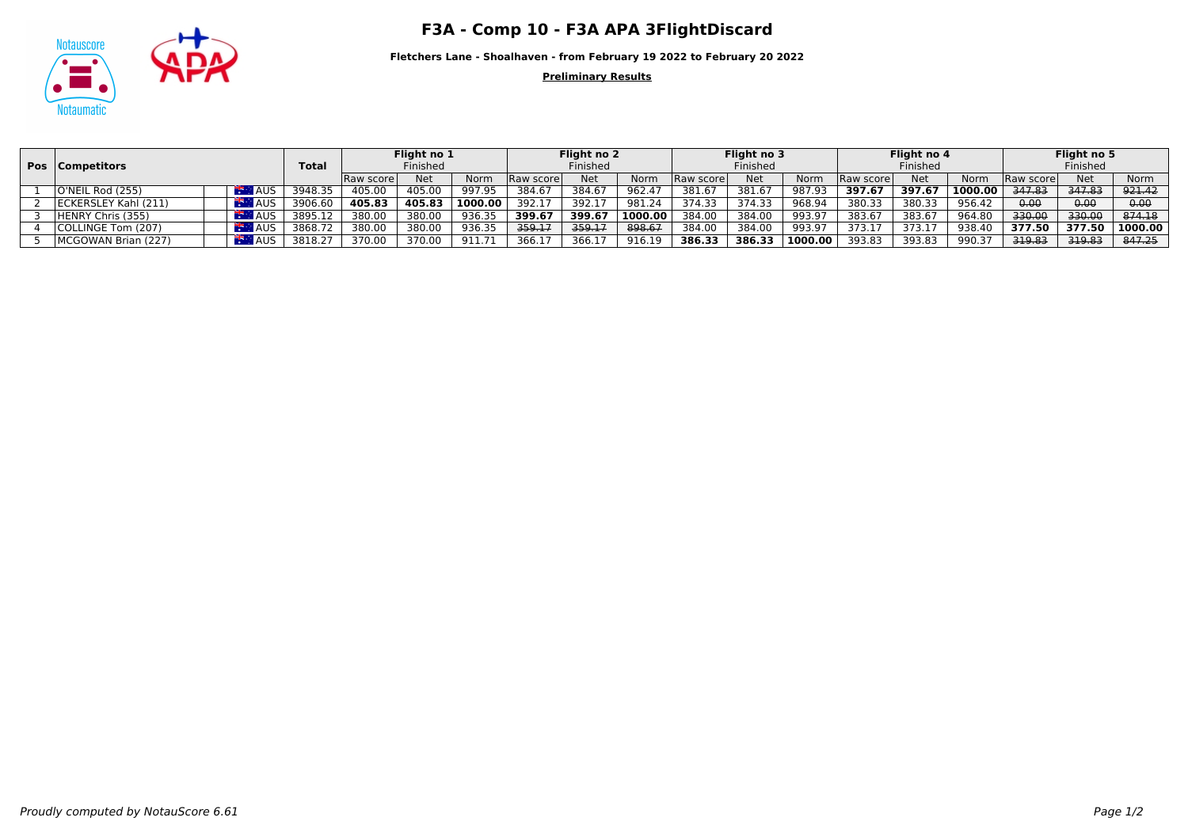



**Fletchers Lane - Shoalhaven - from February 19 2022 to February 20 2022**

**Preliminary Results**

|  | <b>Pos</b>   Competitors |                  | <b>Total</b> |            | Flight no 1<br>Finished |         | Flight no 2<br>Finished |            |         | Flight no 3<br>Finished |            |         | Flight no 4<br>Finished |            |         | Flight no 5<br>Finished |            |         |
|--|--------------------------|------------------|--------------|------------|-------------------------|---------|-------------------------|------------|---------|-------------------------|------------|---------|-------------------------|------------|---------|-------------------------|------------|---------|
|  |                          |                  |              | Raw scorel | <b>Net</b>              | Norm    | 'Raw score)             | <b>Net</b> | Norm    | Raw score               | <b>Net</b> | Norm    | <b>Raw score</b>        | <b>Net</b> | Norm    | <b>Raw scorel</b>       | <b>Net</b> | Norm    |
|  | $ O'NEIL$ Rod $(255)$    | $\mathbb{R}$ AUS | 3948.35      | 405.00     | 405.00                  | 997.95  | 384.67                  | 384.67     | 962.47  | 381.67                  | 381.67     | 987.93  | 397.67                  | 397.67     | 1000.00 | 347.83                  | 347.83     | 921.42  |
|  | ECKERSLEY Kahl (211)     | $A$ AUS          | 3906.60      | 405.83     | 405.83                  | 1000.00 | 392.17                  | 392.1      | 981.24  | 374.33                  | 374.33     | 968.94  | 380.33                  | 380.33     | 956.42  | 0.00                    | 0.00       | 0.00    |
|  | <b>HENRY Chris (355)</b> | $A$ AUS          | 3895.12      | 380.00     | 380.00                  | 936.35  | 399.67                  | 399.67     | 1000.00 | 384.00                  | 384.00     | 993.97  | 383.67                  | 383.67     | 964.80  | 330.00                  | 330.00     | 874.18  |
|  | COLLINGE Tom (207)       | <b>THE AUS</b>   | 3868.72      | 380.00     | 380.00                  | 936.35  | 359.17                  | 359.17     | 898.67  | 384.00                  | 384.00     | 993.97  | 373.17                  | 373.17     | 938.40  | 377.50                  | 377.50     | 1000.00 |
|  | MCGOWAN Brian (227)      | <b>THE AUS</b>   | 3818.27      | 370.00     | 370.00                  | 911.71  | 366.17                  | 366.1      | 916.19  | 386.33                  | 386.33     | 1000.00 | 393.83                  | 393.83     | 990.37  | 319.83                  | 319.83     | 847.25  |